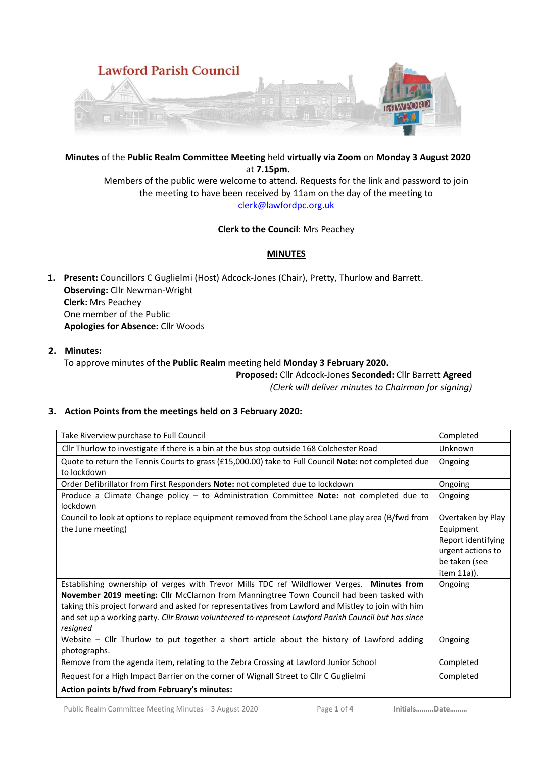

**Minutes** of the **Public Realm Committee Meeting** held **virtually via Zoom** on **Monday 3 August 2020** at **7.15pm.**

Members of the public were welcome to attend. Requests for the link and password to join the meeting to have been received by 11am on the day of the meeting to [clerk@lawfordpc.org.uk](mailto:clerk@lawfordpc.org.uk)

#### **Clerk to the Council**: Mrs Peachey

## **MINUTES**

**1. Present:** Councillors C Guglielmi (Host) Adcock-Jones (Chair), Pretty, Thurlow and Barrett. **Observing:** Cllr Newman-Wright **Clerk:** Mrs Peachey One member of the Public **Apologies for Absence:** Cllr Woods

## **2. Minutes:**

To approve minutes of the **Public Realm** meeting held **Monday 3 February 2020.**

**Proposed:** Cllr Adcock-Jones **Seconded:** Cllr Barrett **Agreed** *(Clerk will deliver minutes to Chairman for signing)*

## **3. Action Points from the meetings held on 3 February 2020:**

| Take Riverview purchase to Full Council                                                                                                                                                                                                                                                                                                                                                                           | Completed                                                                                                 |
|-------------------------------------------------------------------------------------------------------------------------------------------------------------------------------------------------------------------------------------------------------------------------------------------------------------------------------------------------------------------------------------------------------------------|-----------------------------------------------------------------------------------------------------------|
| Cllr Thurlow to investigate if there is a bin at the bus stop outside 168 Colchester Road                                                                                                                                                                                                                                                                                                                         | Unknown                                                                                                   |
| Quote to return the Tennis Courts to grass (£15,000.00) take to Full Council Note: not completed due                                                                                                                                                                                                                                                                                                              | Ongoing                                                                                                   |
| to lockdown                                                                                                                                                                                                                                                                                                                                                                                                       |                                                                                                           |
| Order Defibrillator from First Responders Note: not completed due to lockdown                                                                                                                                                                                                                                                                                                                                     | Ongoing                                                                                                   |
| Produce a Climate Change policy - to Administration Committee Note: not completed due to<br>lockdown                                                                                                                                                                                                                                                                                                              | Ongoing                                                                                                   |
| Council to look at options to replace equipment removed from the School Lane play area (B/fwd from<br>the June meeting)                                                                                                                                                                                                                                                                                           | Overtaken by Play<br>Equipment<br>Report identifying<br>urgent actions to<br>be taken (see<br>item 11a)). |
| Establishing ownership of verges with Trevor Mills TDC ref Wildflower Verges. Minutes from<br>November 2019 meeting: Cllr McClarnon from Manningtree Town Council had been tasked with<br>taking this project forward and asked for representatives from Lawford and Mistley to join with him<br>and set up a working party. Cllr Brown volunteered to represent Lawford Parish Council but has since<br>resigned | Ongoing                                                                                                   |
| Website – Cllr Thurlow to put together a short article about the history of Lawford adding<br>photographs.                                                                                                                                                                                                                                                                                                        | Ongoing                                                                                                   |
| Remove from the agenda item, relating to the Zebra Crossing at Lawford Junior School                                                                                                                                                                                                                                                                                                                              | Completed                                                                                                 |
| Request for a High Impact Barrier on the corner of Wignall Street to Cllr C Guglielmi                                                                                                                                                                                                                                                                                                                             | Completed                                                                                                 |
| Action points b/fwd from February's minutes:                                                                                                                                                                                                                                                                                                                                                                      |                                                                                                           |

Public Realm Committee Meeting Minutes – 3 August 2020 Page **1** of **4 Initials……...Date………**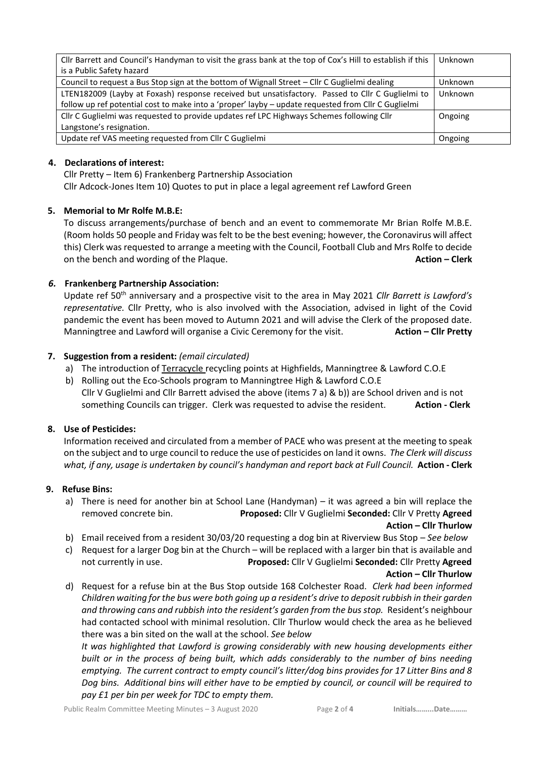| Cllr Barrett and Council's Handyman to visit the grass bank at the top of Cox's Hill to establish if this<br>is a Public Safety hazard | Unknown |
|----------------------------------------------------------------------------------------------------------------------------------------|---------|
| Council to request a Bus Stop sign at the bottom of Wignall Street - Cllr C Guglielmi dealing                                          | Unknown |
| LTEN182009 (Layby at Foxash) response received but unsatisfactory. Passed to Cllr C Guglielmi to                                       | Unknown |
| follow up ref potential cost to make into a 'proper' layby - update requested from Cllr C Guglielmi                                    |         |
| Cllr C Guglielmi was requested to provide updates ref LPC Highways Schemes following Cllr                                              | Ongoing |
| Langstone's resignation.                                                                                                               |         |
| Update ref VAS meeting requested from Cllr C Guglielmi                                                                                 | Ongoing |

## **4. Declarations of interest:**

Cllr Pretty – Item 6) Frankenberg Partnership Association

Cllr Adcock-Jones Item 10) Quotes to put in place a legal agreement ref Lawford Green

## **5. Memorial to Mr Rolfe M.B.E:**

To discuss arrangements/purchase of bench and an event to commemorate Mr Brian Rolfe M.B.E. (Room holds 50 people and Friday was felt to be the best evening; however, the Coronavirus will affect this) Clerk was requested to arrange a meeting with the Council, Football Club and Mrs Rolfe to decide on the bench and wording of the Plaque. **Action – Clerk**

## *6.* **Frankenberg Partnership Association:**

Update ref 50th anniversary and a prospective visit to the area in May 2021 *Cllr Barrett is Lawford's representative.* Cllr Pretty, who is also involved with the Association, advised in light of the Covid pandemic the event has been moved to Autumn 2021 and will advise the Clerk of the proposed date. Manningtree and Lawford will organise a Civic Ceremony for the visit. **Action – Cllr Pretty**

## **7. Suggestion from a resident:** *(email circulated)*

- a) The introduction of [Terracycle](https://www.terracycle.com/en-GB) recycling points at Highfields, Manningtree & Lawford C.O.E
- b) Rolling out the [Eco-Schools](https://www.eco-schools.org.uk/) program to Manningtree High & Lawford C.O.E Cllr V Guglielmi and Cllr Barrett advised the above (items 7 a) & b)) are School driven and is not something Councils can trigger. Clerk was requested to advise the resident. **Action - Clerk**

# **8. Use of Pesticides:**

Information received and circulated from a member of PACE who was present at the meeting to speak on the subject and to urge council to reduce the use of pesticides on land it owns. *The Clerk will discuss what, if any, usage is undertaken by council's handyman and report back at Full Council.* **Action - Clerk**

### **9. Refuse Bins:**

- a) There is need for another bin at School Lane (Handyman) it was agreed a bin will replace the removed concrete bin. **Proposed:** Cllr V Guglielmi **Seconded:** Cllr V Pretty **Agreed Action – Cllr Thurlow**
- b) Email received from a resident 30/03/20 requesting a dog bin at Riverview Bus Stop *See below*
- c) Request for a larger Dog bin at the Church will be replaced with a larger bin that is available and not currently in use. **Proposed:** Cllr V Guglielmi **Seconded:** Cllr Pretty **Agreed**

#### **Action – Cllr Thurlow**

d) Request for a refuse bin at the Bus Stop outside 168 Colchester Road. *Clerk had been informed Children waiting for the bus were both going up a resident's drive to deposit rubbish in their garden and throwing cans and rubbish into the resident's garden from the bus stop.* Resident's neighbour had contacted school with minimal resolution. Cllr Thurlow would check the area as he believed there was a bin sited on the wall at the school. *See below*

*It was highlighted that Lawford is growing considerably with new housing developments either built or in the process of being built, which adds considerably to the number of bins needing emptying. The current contract to empty council's litter/dog bins provides for 17 Litter Bins and 8 Dog bins. Additional bins will either have to be emptied by council, or council will be required to pay £1 per bin per week for TDC to empty them.*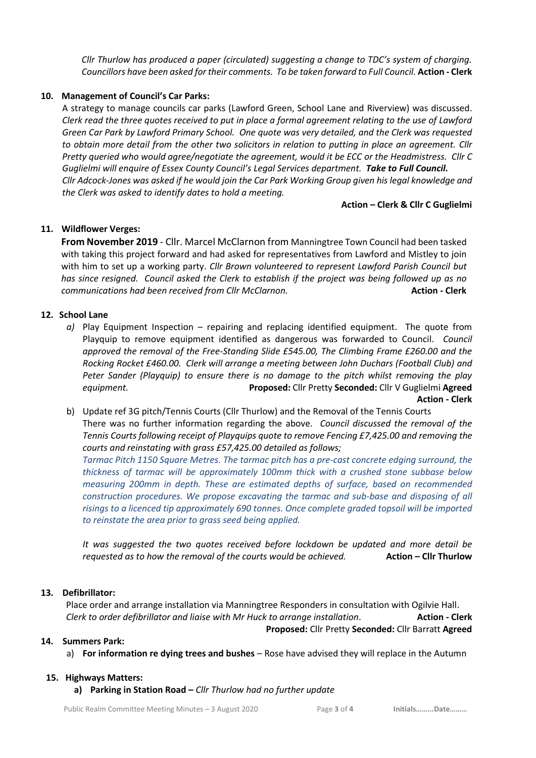*Cllr Thurlow has produced a paper (circulated) suggesting a change to TDC's system of charging. Councillors have been asked for their comments. To be taken forward to Full Council.* **Action - Clerk**

## **10. Management of Council's Car Parks:**

A strategy to manage councils car parks (Lawford Green, School Lane and Riverview) was discussed. *Clerk read the three quotes received to put in place a formal agreement relating to the use of Lawford Green Car Park by Lawford Primary School. One quote was very detailed, and the Clerk was requested to obtain more detail from the other two solicitors in relation to putting in place an agreement. Cllr Pretty queried who would agree/negotiate the agreement, would it be ECC or the Headmistress. Cllr C Guglielmi will enquire of Essex County Council's Legal Services department. Take to Full Council. Cllr Adcock-Jones was asked if he would join the Car Park Working Group given his legal knowledge and the Clerk was asked to identify dates to hold a meeting.*

## **Action – Clerk & Cllr C Guglielmi**

## **11. Wildflower Verges:**

**From November 2019** - Cllr. Marcel McClarnon from Manningtree Town Council had been tasked with taking this project forward and had asked for representatives from Lawford and Mistley to join with him to set up a working party. *Cllr Brown volunteered to represent Lawford Parish Council but has since resigned. Council asked the Clerk to establish if the project was being followed up as no communications had been received from Cllr McClarnon.* **Action - Clerk**

## **12. School Lane**

- *a)* Play Equipment Inspection repairing and replacing identified equipment. The quote from Playquip to remove equipment identified as dangerous was forwarded to Council. *Council approved the removal of the Free-Standing Slide £545.00, The Climbing Frame £260.00 and the Rocking Rocket £460.00. Clerk will arrange a meeting between John Duchars (Football Club) and Peter Sander (Playquip) to ensure there is no damage to the pitch whilst removing the play equipment.* **Proposed:** Cllr Pretty **Seconded:** Cllr V Guglielmi **Agreed Action - Clerk**
- b) Update ref 3G pitch/Tennis Courts (Cllr Thurlow) and the Removal of the Tennis Courts There was no further information regarding the above. *Council discussed the removal of the Tennis Courts following receipt of Playquips quote to remove Fencing £7,425.00 and removing the courts and reinstating with grass £57,425.00 detailed as follows;*

*Tarmac Pitch 1150 Square Metres. The tarmac pitch has a pre-cast concrete edging surround, the thickness of tarmac will be approximately 100mm thick with a crushed stone subbase below measuring 200mm in depth. These are estimated depths of surface, based on recommended construction procedures. We propose excavating the tarmac and sub-base and disposing of all risings to a licenced tip approximately 690 tonnes. Once complete graded topsoil will be imported to reinstate the area prior to grass seed being applied.* 

*It was suggested the two quotes received before lockdown be updated and more detail be requested as to how the removal of the courts would be achieved.* **<b>Action – Clir Thurlow** 

#### **13. Defibrillator:**

Place order and arrange installation via Manningtree Responders in consultation with Ogilvie Hall. *Clerk to order defibrillator and liaise with Mr Huck to arrange installation*. **Action - Clerk**

# **Proposed:** Cllr Pretty **Seconded:** Cllr Barratt **Agreed**

#### **14. Summers Park:**

a) **For information re dying trees and bushes** – Rose have advised they will replace in the Autumn

#### **15. Highways Matters:**

**a) Parking in Station Road –** *Cllr Thurlow had no further update*